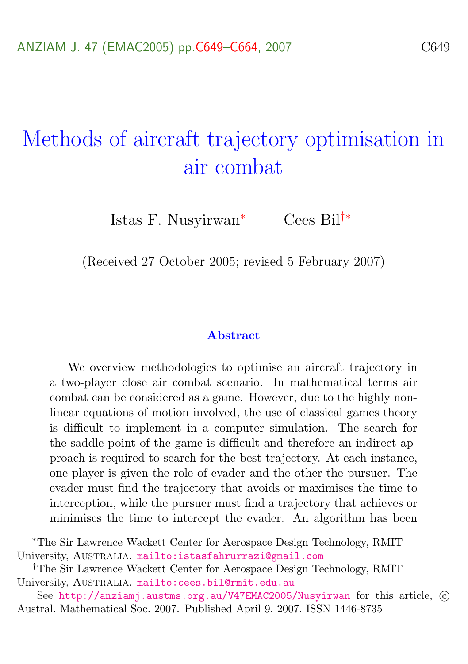# Methods of aircraft trajectory optimisation in air combat

Istas F. Nusyirwan<sup>∗</sup> Cees Bil†∗

(Received 27 October 2005; revised 5 February 2007)

#### Abstract

We overview methodologies to optimise an aircraft trajectory in a two-player close air combat scenario. In mathematical terms air combat can be considered as a game. However, due to the highly nonlinear equations of motion involved, the use of classical games theory is difficult to implement in a computer simulation. The search for the saddle point of the game is difficult and therefore an indirect approach is required to search for the best trajectory. At each instance, one player is given the role of evader and the other the pursuer. The evader must find the trajectory that avoids or maximises the time to interception, while the pursuer must find a trajectory that achieves or minimises the time to intercept the evader. An algorithm has been

<sup>∗</sup>The Sir Lawrence Wackett Center for Aerospace Design Technology, RMIT University, AUSTRALIA. mailto: istasfahrurrazi@gmail.com

<sup>†</sup>The Sir Lawrence Wackett Center for Aerospace Design Technology, RMIT University, AUSTRALIA. mailto: cees.bil@rmit.edu.au

See <http://anziamj.austms.org.au/V47EMAC2005/Nusyirwan> for this article,  $\odot$ Austral. Mathematical Soc. 2007. Published April 9, 2007. ISSN 1446-8735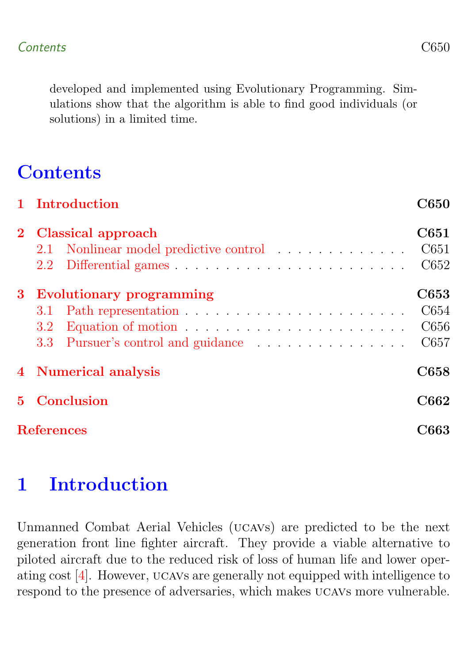<span id="page-1-1"></span>developed and implemented using Evolutionary Programming. Simulations show that the algorithm is able to find good individuals (or solutions) in a limited time.

# **Contents**

|             | 1 Introduction                                                                                                   | <b>C650</b>                  |  |  |  |
|-------------|------------------------------------------------------------------------------------------------------------------|------------------------------|--|--|--|
|             | 2 Classical approach<br>2.1 Nonlinear model predictive control                                                   | C651<br>C651<br>C652         |  |  |  |
|             | 3 Evolutionary programming<br>3.1<br>Equation of motion $\dots \dots \dots \dots \dots \dots \dots \dots$<br>3.2 | C653<br>C654<br>C656<br>C657 |  |  |  |
|             | 4 Numerical analysis                                                                                             | C658                         |  |  |  |
| $5^{\circ}$ | Conclusion                                                                                                       |                              |  |  |  |
|             | <b>References</b>                                                                                                |                              |  |  |  |

# <span id="page-1-0"></span>1 Introduction

Unmanned Combat Aerial Vehicles (ucavs) are predicted to be the next generation front line fighter aircraft. They provide a viable alternative to piloted aircraft due to the reduced risk of loss of human life and lower operating cost [\[4\]](#page-14-1). However, ucavs are generally not equipped with intelligence to respond to the presence of adversaries, which makes ucavs more vulnerable.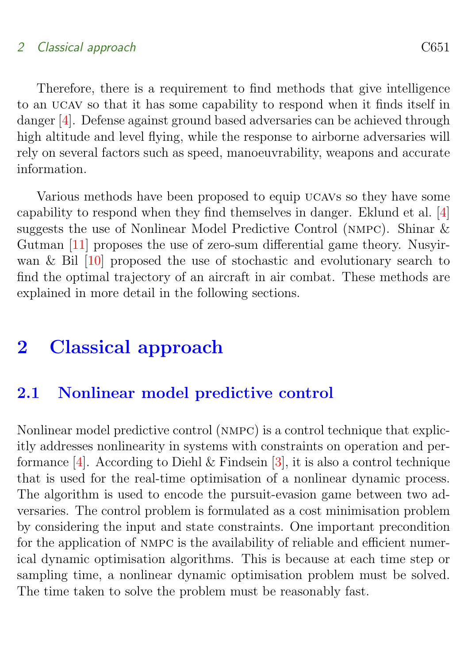#### <span id="page-2-2"></span>2 Classical approach C651

Therefore, there is a requirement to find methods that give intelligence to an ucav so that it has some capability to respond when it finds itself in danger [\[4\]](#page-14-1). Defense against ground based adversaries can be achieved through high altitude and level flying, while the response to airborne adversaries will rely on several factors such as speed, manoeuvrability, weapons and accurate information.

Various methods have been proposed to equip ucavs so they have some capability to respond when they find themselves in danger. Eklund et al. [\[4\]](#page-14-1) suggests the use of Nonlinear Model Predictive Control (nmpc). Shinar & Gutman [\[11\]](#page-15-0) proposes the use of zero-sum differential game theory. Nusyirwan & Bil [\[10\]](#page-15-1) proposed the use of stochastic and evolutionary search to find the optimal trajectory of an aircraft in air combat. These methods are explained in more detail in the following sections.

# <span id="page-2-0"></span>2 Classical approach

### <span id="page-2-1"></span>2.1 Nonlinear model predictive control

Nonlinear model predictive control (nmpc) is a control technique that explicitly addresses nonlinearity in systems with constraints on operation and performance  $[4]$ . According to Diehl & Findsein  $[3]$ , it is also a control technique that is used for the real-time optimisation of a nonlinear dynamic process. The algorithm is used to encode the pursuit-evasion game between two adversaries. The control problem is formulated as a cost minimisation problem by considering the input and state constraints. One important precondition for the application of nmpc is the availability of reliable and efficient numerical dynamic optimisation algorithms. This is because at each time step or sampling time, a nonlinear dynamic optimisation problem must be solved. The time taken to solve the problem must be reasonably fast.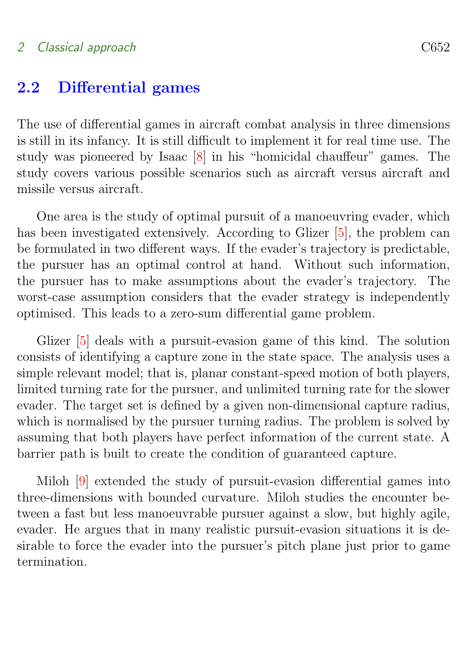#### <span id="page-3-2"></span>2 Classical approach C652

### <span id="page-3-0"></span>2.2 Differential games

The use of differential games in aircraft combat analysis in three dimensions is still in its infancy. It is still difficult to implement it for real time use. The study was pioneered by Isaac [\[8\]](#page-14-3) in his "homicidal chauffeur" games. The study covers various possible scenarios such as aircraft versus aircraft and missile versus aircraft.

One area is the study of optimal pursuit of a manoeuvring evader, which has been investigated extensively. According to Glizer [\[5\]](#page-14-4), the problem can be formulated in two different ways. If the evader's trajectory is predictable, the pursuer has an optimal control at hand. Without such information, the pursuer has to make assumptions about the evader's trajectory. The worst-case assumption considers that the evader strategy is independently optimised. This leads to a zero-sum differential game problem.

Glizer [\[5\]](#page-14-4) deals with a pursuit-evasion game of this kind. The solution consists of identifying a capture zone in the state space. The analysis uses a simple relevant model; that is, planar constant-speed motion of both players, limited turning rate for the pursuer, and unlimited turning rate for the slower evader. The target set is defined by a given non-dimensional capture radius, which is normalised by the pursuer turning radius. The problem is solved by assuming that both players have perfect information of the current state. A barrier path is built to create the condition of guaranteed capture.

<span id="page-3-1"></span>Miloh [\[9\]](#page-14-5) extended the study of pursuit-evasion differential games into three-dimensions with bounded curvature. Miloh studies the encounter between a fast but less manoeuvrable pursuer against a slow, but highly agile, evader. He argues that in many realistic pursuit-evasion situations it is desirable to force the evader into the pursuer's pitch plane just prior to game termination.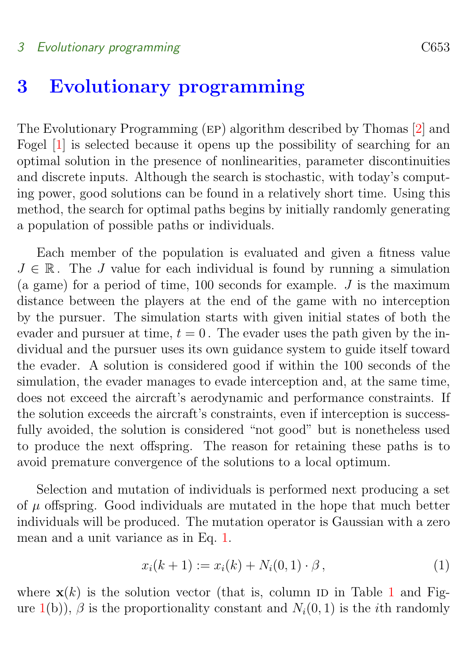#### <span id="page-4-1"></span>3 Evolutionary programming C653

# 3 Evolutionary programming

The Evolutionary Programming (ep) algorithm described by Thomas [\[2\]](#page-14-6) and Fogel [\[1\]](#page-14-7) is selected because it opens up the possibility of searching for an optimal solution in the presence of nonlinearities, parameter discontinuities and discrete inputs. Although the search is stochastic, with today's computing power, good solutions can be found in a relatively short time. Using this method, the search for optimal paths begins by initially randomly generating a population of possible paths or individuals.

Each member of the population is evaluated and given a fitness value  $J \in \mathbb{R}$ . The J value for each individual is found by running a simulation (a game) for a period of time,  $100$  seconds for example. J is the maximum distance between the players at the end of the game with no interception by the pursuer. The simulation starts with given initial states of both the evader and pursuer at time,  $t = 0$ . The evader uses the path given by the individual and the pursuer uses its own guidance system to guide itself toward the evader. A solution is considered good if within the 100 seconds of the simulation, the evader manages to evade interception and, at the same time, does not exceed the aircraft's aerodynamic and performance constraints. If the solution exceeds the aircraft's constraints, even if interception is successfully avoided, the solution is considered "not good" but is nonetheless used to produce the next offspring. The reason for retaining these paths is to avoid premature convergence of the solutions to a local optimum.

Selection and mutation of individuals is performed next producing a set of  $\mu$  offspring. Good individuals are mutated in the hope that much better individuals will be produced. The mutation operator is Gaussian with a zero mean and a unit variance as in Eq. [1.](#page-4-0)

<span id="page-4-0"></span>
$$
x_i(k+1) := x_i(k) + N_i(0,1) \cdot \beta, \qquad (1)
$$

where  $\mathbf{x}(k)$  is the solution vector (that is, column ID in Table [1](#page-7-1) and Fig-ure [1\(](#page-6-0)b)),  $\beta$  is the proportionality constant and  $N_i(0, 1)$  is the *i*th randomly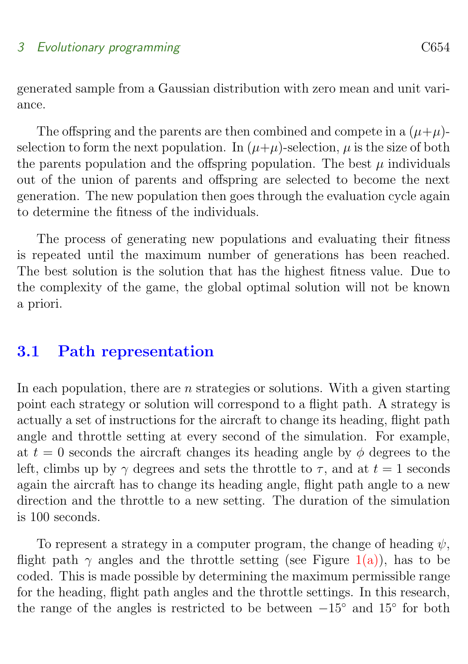generated sample from a Gaussian distribution with zero mean and unit variance.

The offspring and the parents are then combined and compete in a  $(\mu+\mu)$ selection to form the next population. In  $(\mu+\mu)$ -selection,  $\mu$  is the size of both the parents population and the offspring population. The best  $\mu$  individuals out of the union of parents and offspring are selected to become the next generation. The new population then goes through the evaluation cycle again to determine the fitness of the individuals.

The process of generating new populations and evaluating their fitness is repeated until the maximum number of generations has been reached. The best solution is the solution that has the highest fitness value. Due to the complexity of the game, the global optimal solution will not be known a priori.

### <span id="page-5-0"></span>3.1 Path representation

In each population, there are  $n$  strategies or solutions. With a given starting point each strategy or solution will correspond to a flight path. A strategy is actually a set of instructions for the aircraft to change its heading, flight path angle and throttle setting at every second of the simulation. For example, at  $t = 0$  seconds the aircraft changes its heading angle by  $\phi$  degrees to the left, climbs up by  $\gamma$  degrees and sets the throttle to  $\tau$ , and at  $t = 1$  seconds again the aircraft has to change its heading angle, flight path angle to a new direction and the throttle to a new setting. The duration of the simulation is 100 seconds.

To represent a strategy in a computer program, the change of heading  $\psi$ , flight path  $\gamma$  angles and the throttle setting (see Figure [1\(a\)\)](#page-6-1), has to be coded. This is made possible by determining the maximum permissible range for the heading, flight path angles and the throttle settings. In this research, the range of the angles is restricted to be between  $-15°$  and  $15°$  for both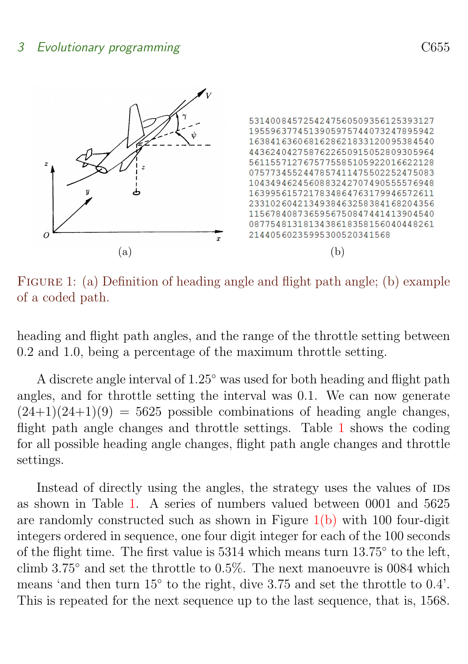

<span id="page-6-2"></span><span id="page-6-1"></span><span id="page-6-0"></span>FIGURE 1: (a) Definition of heading angle and flight path angle; (b) example of a coded path.

heading and flight path angles, and the range of the throttle setting between 0.2 and 1.0, being a percentage of the maximum throttle setting.

A discrete angle interval of 1.25◦ was used for both heading and flight path angles, and for throttle setting the interval was 0.1. We can now generate  $(24+1)(24+1)(9) = 5625$  possible combinations of heading angle changes, flight path angle changes and throttle settings. Table [1](#page-7-1) shows the coding for all possible heading angle changes, flight path angle changes and throttle settings.

Instead of directly using the angles, the strategy uses the values of IDS as shown in Table [1.](#page-7-1) A series of numbers valued between 0001 and 5625 are randomly constructed such as shown in Figure  $1(b)$  with 100 four-digit integers ordered in sequence, one four digit integer for each of the 100 seconds of the flight time. The first value is 5314 which means turn 13.75° to the left, climb 3.75◦ and set the throttle to 0.5%. The next manoeuvre is 0084 which means 'and then turn 15° to the right, dive 3.75 and set the throttle to 0.4'. This is repeated for the next sequence up to the last sequence, that is, 1568.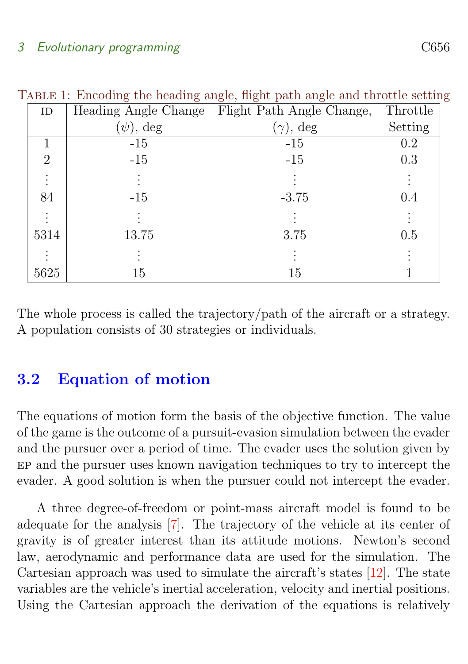#### <span id="page-7-2"></span>3 Evolutionary programming C656

<span id="page-7-1"></span>

| 0 ---0--, ---0--- r ---- --<br>-റ |                      |                           |          |  |  |  |
|-----------------------------------|----------------------|---------------------------|----------|--|--|--|
| ID                                | Heading Angle Change | Flight Path Angle Change, | Throttle |  |  |  |
|                                   | $(\psi)$ , deg       | $(\gamma)$ , deg          | Setting  |  |  |  |
|                                   | $-15$                | $-15$                     | 0.2      |  |  |  |
| $\overline{2}$                    | $-15$                | $-15$                     | 0.3      |  |  |  |
|                                   |                      |                           |          |  |  |  |
| 84                                | $-15$                | $-3.75$                   | 0.4      |  |  |  |
| $\ddot{\cdot}$                    |                      |                           |          |  |  |  |
| 5314                              | 13.75                | 3.75                      | 0.5      |  |  |  |
|                                   |                      |                           |          |  |  |  |
| 5625                              | 15                   | 15                        |          |  |  |  |

Table 1: Encoding the heading angle, flight path angle and throttle setting

The whole process is called the trajectory/path of the aircraft or a strategy. A population consists of 30 strategies or individuals.

### <span id="page-7-0"></span>3.2 Equation of motion

The equations of motion form the basis of the objective function. The value of the game is the outcome of a pursuit-evasion simulation between the evader and the pursuer over a period of time. The evader uses the solution given by ep and the pursuer uses known navigation techniques to try to intercept the evader. A good solution is when the pursuer could not intercept the evader.

A three degree-of-freedom or point-mass aircraft model is found to be adequate for the analysis [\[7\]](#page-14-8). The trajectory of the vehicle at its center of gravity is of greater interest than its attitude motions. Newton's second law, aerodynamic and performance data are used for the simulation. The Cartesian approach was used to simulate the aircraft's states [\[12\]](#page-15-2). The state variables are the vehicle's inertial acceleration, velocity and inertial positions. Using the Cartesian approach the derivation of the equations is relatively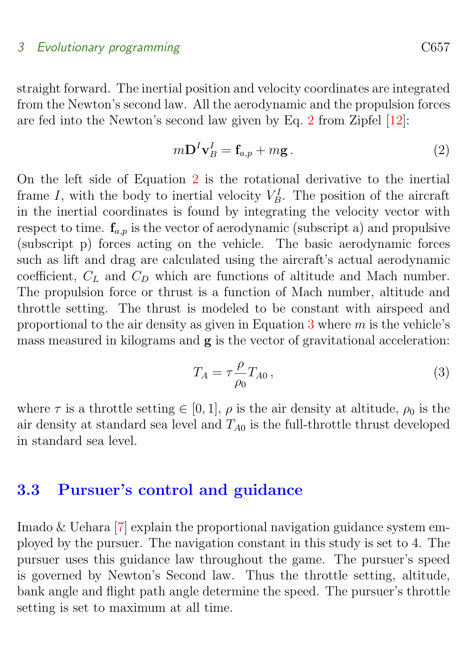<span id="page-8-3"></span>straight forward. The inertial position and velocity coordinates are integrated from the Newton's second law. All the aerodynamic and the propulsion forces are fed into the Newton's second law given by Eq. [2](#page-8-1) from Zipfel [\[12\]](#page-15-2):

<span id="page-8-1"></span>
$$
m\mathbf{D}^I\mathbf{v}_B^I = \mathbf{f}_{a,p} + m\mathbf{g} \,. \tag{2}
$$

On the left side of Equation [2](#page-8-1) is the rotational derivative to the inertial frame I, with the body to inertial velocity  $V_B^I$ . The position of the aircraft in the inertial coordinates is found by integrating the velocity vector with respect to time.  $f_{a,n}$  is the vector of aerodynamic (subscript a) and propulsive (subscript p) forces acting on the vehicle. The basic aerodynamic forces such as lift and drag are calculated using the aircraft's actual aerodynamic coefficient,  $C_L$  and  $C_D$  which are functions of altitude and Mach number. The propulsion force or thrust is a function of Mach number, altitude and throttle setting. The thrust is modeled to be constant with airspeed and proportional to the air density as given in Equation [3](#page-8-2) where  $m$  is the vehicle's mass measured in kilograms and  $g$  is the vector of gravitational acceleration:

<span id="page-8-2"></span>
$$
T_A = \tau \frac{\rho}{\rho_0} T_{A0} \,, \tag{3}
$$

where  $\tau$  is a throttle setting  $\in [0, 1]$ ,  $\rho$  is the air density at altitude,  $\rho_0$  is the air density at standard sea level and  $T_{A0}$  is the full-throttle thrust developed in standard sea level.

### <span id="page-8-0"></span>3.3 Pursuer's control and guidance

Imado & Uehara [\[7\]](#page-14-8) explain the proportional navigation guidance system employed by the pursuer. The navigation constant in this study is set to 4. The pursuer uses this guidance law throughout the game. The pursuer's speed is governed by Newton's Second law. Thus the throttle setting, altitude, bank angle and flight path angle determine the speed. The pursuer's throttle setting is set to maximum at all time.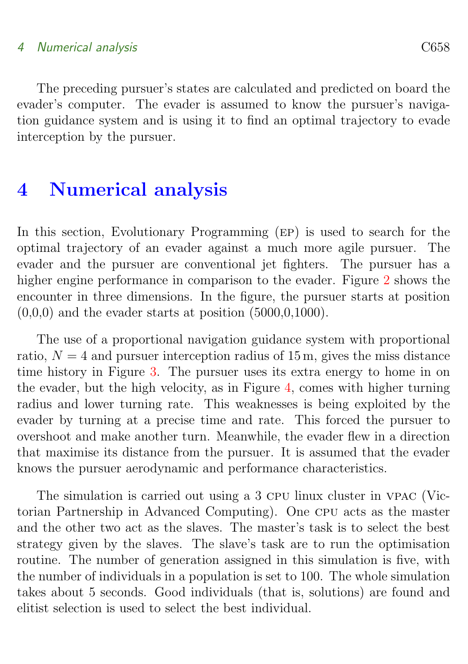#### 4 Numerical analysis C658

The preceding pursuer's states are calculated and predicted on board the evader's computer. The evader is assumed to know the pursuer's navigation guidance system and is using it to find an optimal trajectory to evade interception by the pursuer.

# <span id="page-9-0"></span>4 Numerical analysis

In this section, Evolutionary Programming (ep) is used to search for the optimal trajectory of an evader against a much more agile pursuer. The evader and the pursuer are conventional jet fighters. The pursuer has a higher engine performance in comparison to the evader. Figure [2](#page-10-0) shows the encounter in three dimensions. In the figure, the pursuer starts at position  $(0,0,0)$  and the evader starts at position  $(5000,0,1000)$ .

The use of a proportional navigation guidance system with proportional ratio,  $N = 4$  and pursuer interception radius of 15 m, gives the miss distance time history in Figure [3.](#page-11-0) The pursuer uses its extra energy to home in on the evader, but the high velocity, as in Figure [4,](#page-12-0) comes with higher turning radius and lower turning rate. This weaknesses is being exploited by the evader by turning at a precise time and rate. This forced the pursuer to overshoot and make another turn. Meanwhile, the evader flew in a direction that maximise its distance from the pursuer. It is assumed that the evader knows the pursuer aerodynamic and performance characteristics.

The simulation is carried out using a 3 cpu linux cluster in vpac (Victorian Partnership in Advanced Computing). One cpu acts as the master and the other two act as the slaves. The master's task is to select the best strategy given by the slaves. The slave's task are to run the optimisation routine. The number of generation assigned in this simulation is five, with the number of individuals in a population is set to 100. The whole simulation takes about 5 seconds. Good individuals (that is, solutions) are found and elitist selection is used to select the best individual.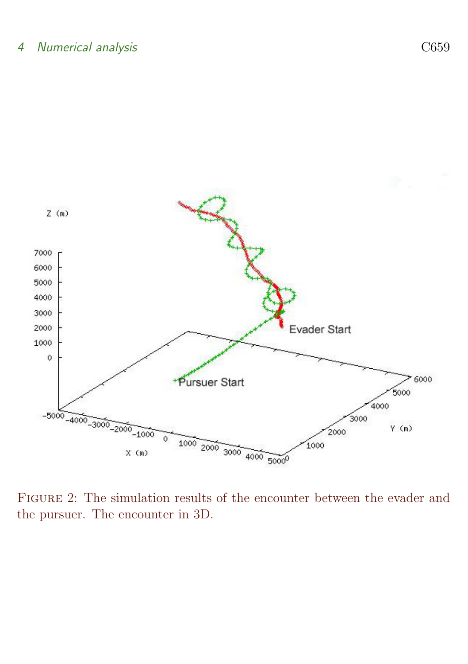

<span id="page-10-0"></span>FIGURE 2: The simulation results of the encounter between the evader and the pursuer. The encounter in 3D.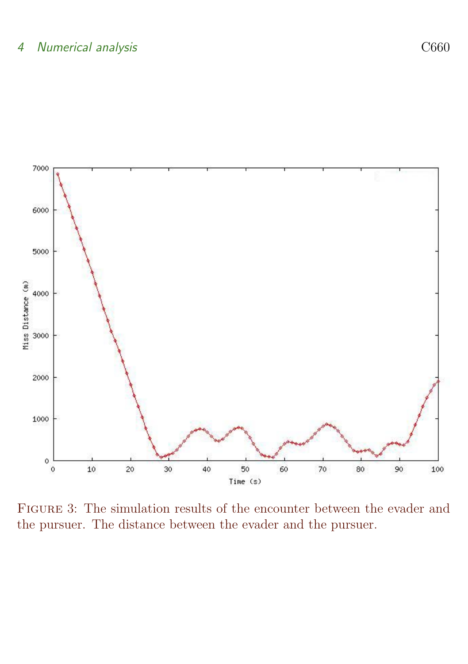

<span id="page-11-0"></span>FIGURE 3: The simulation results of the encounter between the evader and the pursuer. The distance between the evader and the pursuer.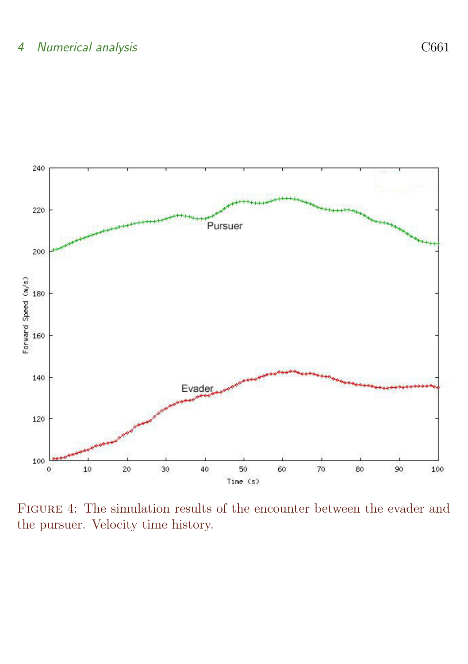#### 4 Numerical analysis C661



<span id="page-12-0"></span>Figure 4: The simulation results of the encounter between the evader and the pursuer. Velocity time history.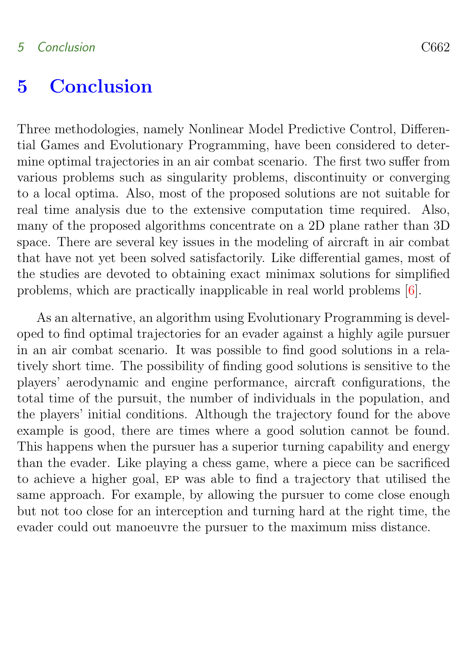# <span id="page-13-1"></span><span id="page-13-0"></span>5 Conclusion

Three methodologies, namely Nonlinear Model Predictive Control, Differential Games and Evolutionary Programming, have been considered to determine optimal trajectories in an air combat scenario. The first two suffer from various problems such as singularity problems, discontinuity or converging to a local optima. Also, most of the proposed solutions are not suitable for real time analysis due to the extensive computation time required. Also, many of the proposed algorithms concentrate on a 2D plane rather than 3D space. There are several key issues in the modeling of aircraft in air combat that have not yet been solved satisfactorily. Like differential games, most of the studies are devoted to obtaining exact minimax solutions for simplified problems, which are practically inapplicable in real world problems [\[6\]](#page-14-9).

As an alternative, an algorithm using Evolutionary Programming is developed to find optimal trajectories for an evader against a highly agile pursuer in an air combat scenario. It was possible to find good solutions in a relatively short time. The possibility of finding good solutions is sensitive to the players' aerodynamic and engine performance, aircraft configurations, the total time of the pursuit, the number of individuals in the population, and the players' initial conditions. Although the trajectory found for the above example is good, there are times where a good solution cannot be found. This happens when the pursuer has a superior turning capability and energy than the evader. Like playing a chess game, where a piece can be sacrificed to achieve a higher goal, ep was able to find a trajectory that utilised the same approach. For example, by allowing the pursuer to come close enough but not too close for an interception and turning hard at the right time, the evader could out manoeuvre the pursuer to the maximum miss distance.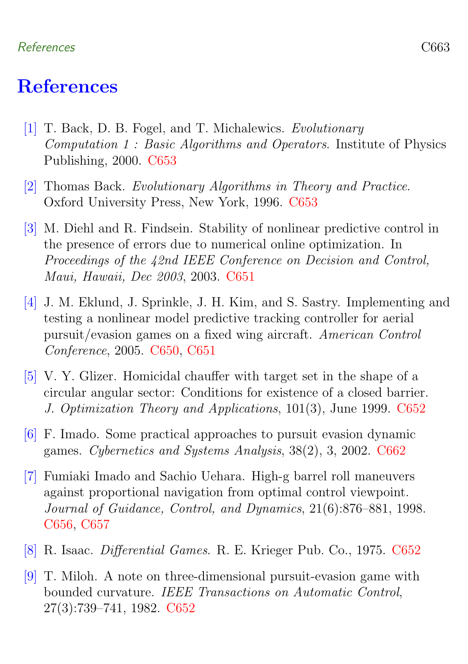#### References C663

### References

- <span id="page-14-7"></span><span id="page-14-0"></span>[1] T. Back, D. B. Fogel, and T. Michalewics. Evolutionary Computation 1 : Basic Algorithms and Operators. Institute of Physics Publishing, 2000. [C653](#page-4-1)
- <span id="page-14-6"></span>[2] Thomas Back. Evolutionary Algorithms in Theory and Practice. Oxford University Press, New York, 1996. [C653](#page-4-1)
- <span id="page-14-2"></span>[3] M. Diehl and R. Findsein. Stability of nonlinear predictive control in the presence of errors due to numerical online optimization. In Proceedings of the 42nd IEEE Conference on Decision and Control, Maui, Hawaii, Dec 2003, 2003. [C651](#page-2-2)
- <span id="page-14-1"></span>[4] J. M. Eklund, J. Sprinkle, J. H. Kim, and S. Sastry. Implementing and testing a nonlinear model predictive tracking controller for aerial pursuit/evasion games on a fixed wing aircraft. American Control Conference, 2005. [C650,](#page-1-1) [C651](#page-2-2)
- <span id="page-14-4"></span>[5] V. Y. Glizer. Homicidal chauffer with target set in the shape of a circular angular sector: Conditions for existence of a closed barrier. J. Optimization Theory and Applications, 101(3), June 1999. [C652](#page-3-2)
- <span id="page-14-9"></span>[6] F. Imado. Some practical approaches to pursuit evasion dynamic games. Cybernetics and Systems Analysis, 38(2), 3, 2002. [C662](#page-13-1)
- <span id="page-14-8"></span>[7] Fumiaki Imado and Sachio Uehara. High-g barrel roll maneuvers against proportional navigation from optimal control viewpoint. Journal of Guidance, Control, and Dynamics, 21(6):876–881, 1998. [C656,](#page-7-2) [C657](#page-8-3)
- <span id="page-14-3"></span>[8] R. Isaac. Differential Games. R. E. Krieger Pub. Co., 1975. [C652](#page-3-2)
- <span id="page-14-5"></span>[9] T. Miloh. A note on three-dimensional pursuit-evasion game with bounded curvature. IEEE Transactions on Automatic Control, 27(3):739–741, 1982. [C652](#page-3-2)